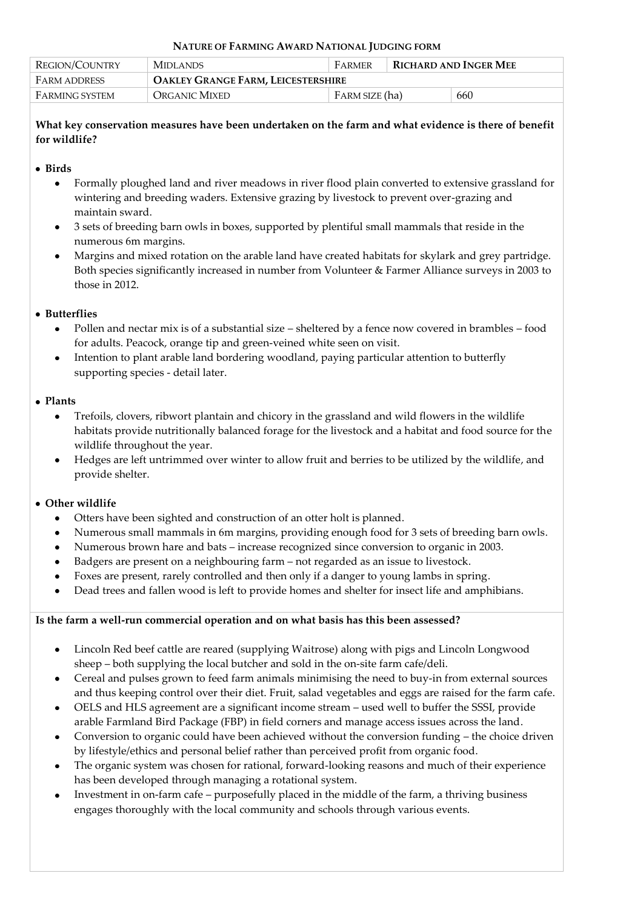### **NATURE OF FARMING AWARD NATIONAL JUDGING FORM**

| REGION/COUNTRY      | <b>MIDLANDS</b>                           | <b>FARMER</b>  | <b>RICHARD AND INGER MEE</b> |     |
|---------------------|-------------------------------------------|----------------|------------------------------|-----|
| <b>FARM ADDRESS</b> | <b>OAKLEY GRANGE FARM, LEICESTERSHIRE</b> |                |                              |     |
| FARMING SYSTEM      | Organic Mixed                             | FARM SIZE (ha) |                              | 660 |

# **What key conservation measures have been undertaken on the farm and what evidence is there of benefit for wildlife?**

# **Birds**

- Formally ploughed land and river meadows in river flood plain converted to extensive grassland for  $\bullet$ wintering and breeding waders. Extensive grazing by livestock to prevent over-grazing and maintain sward.
- 3 sets of breeding barn owls in boxes, supported by plentiful small mammals that reside in the numerous 6m margins.
- Margins and mixed rotation on the arable land have created habitats for skylark and grey partridge. Both species significantly increased in number from Volunteer & Farmer Alliance surveys in 2003 to those in 2012.

# **Butterflies**

- Pollen and nectar mix is of a substantial size sheltered by a fence now covered in brambles food for adults. Peacock, orange tip and green-veined white seen on visit.
- Intention to plant arable land bordering woodland, paying particular attention to butterfly supporting species - detail later.

# **Plants**

- Trefoils, clovers, ribwort plantain and chicory in the grassland and wild flowers in the wildlife habitats provide nutritionally balanced forage for the livestock and a habitat and food source for the wildlife throughout the year.
- Hedges are left untrimmed over winter to allow fruit and berries to be utilized by the wildlife, and provide shelter.

# **Other wildlife**

- Otters have been sighted and construction of an otter holt is planned.
- Numerous small mammals in 6m margins, providing enough food for 3 sets of breeding barn owls.
- Numerous brown hare and bats increase recognized since conversion to organic in 2003.
- Badgers are present on a neighbouring farm not regarded as an issue to livestock.
- Foxes are present, rarely controlled and then only if a danger to young lambs in spring.
- Dead trees and fallen wood is left to provide homes and shelter for insect life and amphibians.

# **Is the farm a well-run commercial operation and on what basis has this been assessed?**

- Lincoln Red beef cattle are reared (supplying Waitrose) along with pigs and Lincoln Longwood sheep – both supplying the local butcher and sold in the on-site farm cafe/deli.
- $\bullet$ Cereal and pulses grown to feed farm animals minimising the need to buy-in from external sources and thus keeping control over their diet. Fruit, salad vegetables and eggs are raised for the farm cafe.
- OELS and HLS agreement are a significant income stream used well to buffer the SSSI, provide arable Farmland Bird Package (FBP) in field corners and manage access issues across the land.
- Conversion to organic could have been achieved without the conversion funding the choice driven by lifestyle/ethics and personal belief rather than perceived profit from organic food.
- The organic system was chosen for rational, forward-looking reasons and much of their experience has been developed through managing a rotational system.
- Investment in on-farm cafe purposefully placed in the middle of the farm, a thriving business engages thoroughly with the local community and schools through various events.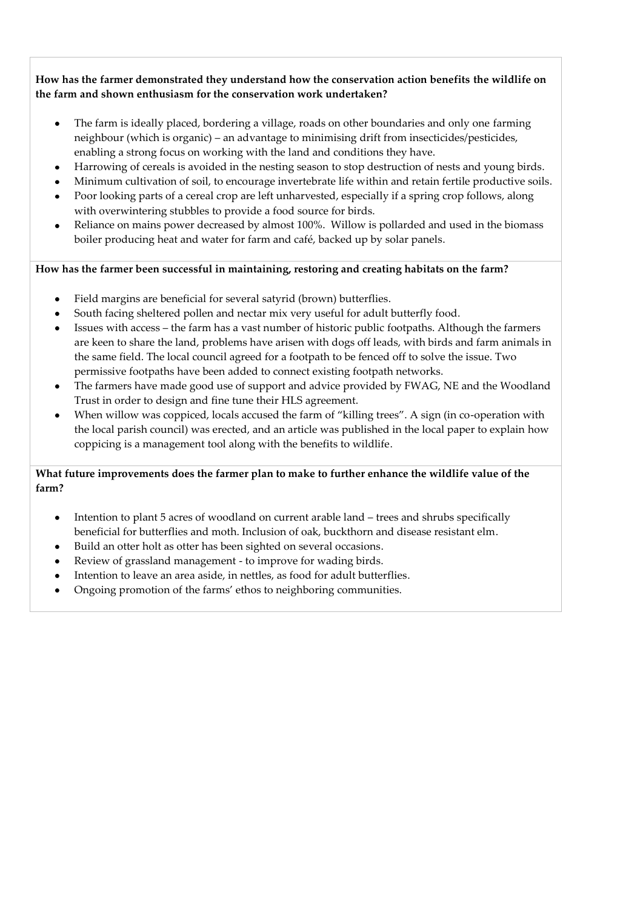**How has the farmer demonstrated they understand how the conservation action benefits the wildlife on the farm and shown enthusiasm for the conservation work undertaken?**

- The farm is ideally placed, bordering a village, roads on other boundaries and only one farming neighbour (which is organic) – an advantage to minimising drift from insecticides/pesticides, enabling a strong focus on working with the land and conditions they have.
- Harrowing of cereals is avoided in the nesting season to stop destruction of nests and young birds.
- Minimum cultivation of soil, to encourage invertebrate life within and retain fertile productive soils.
- Poor looking parts of a cereal crop are left unharvested, especially if a spring crop follows, along with overwintering stubbles to provide a food source for birds.
- Reliance on mains power decreased by almost 100%. Willow is pollarded and used in the biomass boiler producing heat and water for farm and café, backed up by solar panels.

**How has the farmer been successful in maintaining, restoring and creating habitats on the farm?** 

- Field margins are beneficial for several satyrid (brown) butterflies.  $\bullet$
- South facing sheltered pollen and nectar mix very useful for adult butterfly food.
- Issues with access the farm has a vast number of historic public footpaths. Although the farmers are keen to share the land, problems have arisen with dogs off leads, with birds and farm animals in the same field. The local council agreed for a footpath to be fenced off to solve the issue. Two permissive footpaths have been added to connect existing footpath networks.
- The farmers have made good use of support and advice provided by FWAG, NE and the Woodland Trust in order to design and fine tune their HLS agreement.
- When willow was coppiced, locals accused the farm of "killing trees". A sign (in co-operation with the local parish council) was erected, and an article was published in the local paper to explain how coppicing is a management tool along with the benefits to wildlife.

# **What future improvements does the farmer plan to make to further enhance the wildlife value of the farm?**

- Intention to plant 5 acres of woodland on current arable land trees and shrubs specifically beneficial for butterflies and moth. Inclusion of oak, buckthorn and disease resistant elm.
- Build an otter holt as otter has been sighted on several occasions.
- Review of grassland management to improve for wading birds.
- Intention to leave an area aside, in nettles, as food for adult butterflies.
- Ongoing promotion of the farms' ethos to neighboring communities.